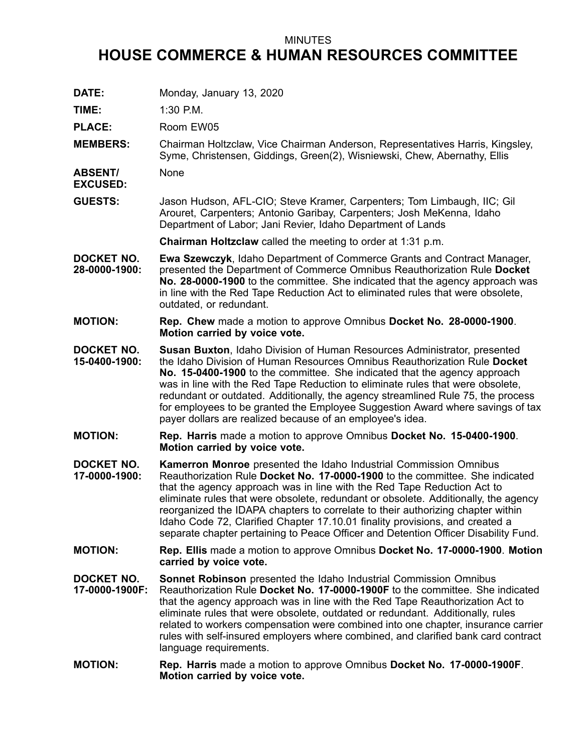## MINUTES

## **HOUSE COMMERCE & HUMAN RESOURCES COMMITTEE**

**DATE:** Monday, January 13, 2020 **TIME:** 1:30 P.M. PLACE: Room EW05 **MEMBERS:** Chairman Holtzclaw, Vice Chairman Anderson, Representatives Harris, Kingsley, Syme, Christensen, Giddings, Green(2), Wisniewski, Chew, Abernathy, Ellis **ABSENT/ EXCUSED:** None **GUESTS:** Jason Hudson, AFL-CIO; Steve Kramer, Carpenters; Tom Limbaugh, IIC; Gil Arouret, Carpenters; Antonio Garibay, Carpenters; Josh MeKenna, Idaho Department of Labor; Jani Revier, Idaho Department of Lands **Chairman Holtzclaw** called the meeting to order at 1:31 p.m. **DOCKET NO. 28-0000-1900: Ewa Szewczyk**, Idaho Department of Commerce Grants and Contract Manager, presented the Department of Commerce Omnibus Reauthorization Rule **Docket No. 28-0000-1900** to the committee. She indicated that the agency approach was in line with the Red Tape Reduction Act to eliminated rules that were obsolete, outdated, or redundant. **MOTION: Rep. Chew** made <sup>a</sup> motion to approve Omnibus **Docket No. 28-0000-1900**. **Motion carried by voice vote. DOCKET NO. 15-0400-1900: Susan Buxton**, Idaho Division of Human Resources Administrator, presented the Idaho Division of Human Resources Omnibus Reauthorization Rule **Docket No. 15-0400-1900** to the committee. She indicated that the agency approach was in line with the Red Tape Reduction to eliminate rules that were obsolete, redundant or outdated. Additionally, the agency streamlined Rule 75, the process for employees to be granted the Employee Suggestion Award where savings of tax payer dollars are realized because of an employee's idea. **MOTION: Rep. Harris** made <sup>a</sup> motion to approve Omnibus **Docket No. 15-0400-1900**. **Motion carried by voice vote. DOCKET NO. 17-0000-1900: Kamerron Monroe** presented the Idaho Industrial Commission Omnibus Reauthorization Rule **Docket No. 17-0000-1900** to the committee. She indicated that the agency approach was in line with the Red Tape Reduction Act to eliminate rules that were obsolete, redundant or obsolete. Additionally, the agency reorganized the IDAPA chapters to correlate to their authorizing chapter within Idaho Code 72, Clarified Chapter 17.10.01 finality provisions, and created <sup>a</sup> separate chapter pertaining to Peace Officer and Detention Officer Disability Fund. **MOTION: Rep. Ellis** made <sup>a</sup> motion to approve Omnibus **Docket No. 17-0000-1900**. **Motion carried by voice vote. DOCKET NO. 17-0000-1900F: Sonnet Robinson** presented the Idaho Industrial Commission Omnibus Reauthorization Rule **Docket No. 17-0000-1900F** to the committee. She indicated that the agency approach was in line with the Red Tape Reauthorization Act to eliminate rules that were obsolete, outdated or redundant. Additionally, rules related to workers compensation were combined into one chapter, insurance carrier rules with self-insured employers where combined, and clarified bank card contract language requirements. **MOTION: Rep. Harris** made <sup>a</sup> motion to approve Omnibus **Docket No. 17-0000-1900F**. **Motion carried by voice vote.**